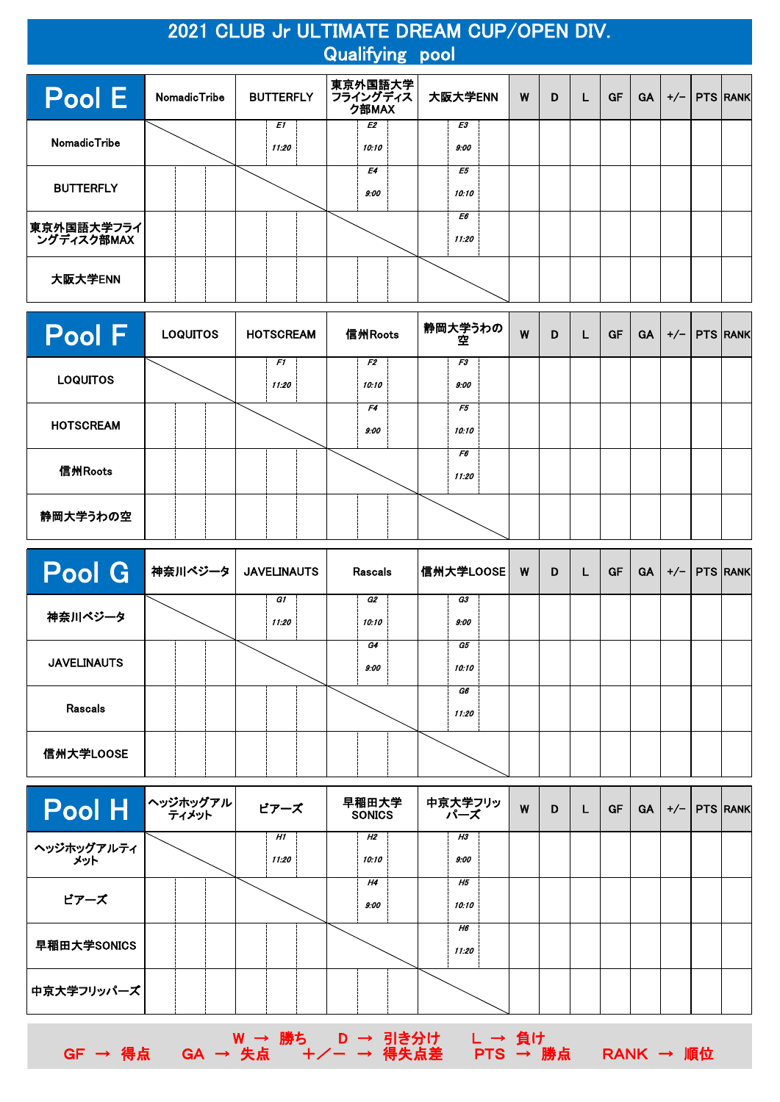## 2021 CLUB Jr ULTIMATE DREAM CUP/OPEN DIV. Qualifying pool

| Pool E                      | <b>NomadicTribe</b> |  | <b>BUTTERFLY</b> |             | 東京外国語大学<br>フライングディス<br>ク部MAX |                   | 大阪大学ENN | W           | D | L | <b>GF</b> | <b>GA</b> | $+/-$ | <b>PTS RANK</b> |  |
|-----------------------------|---------------------|--|------------------|-------------|------------------------------|-------------------|---------|-------------|---|---|-----------|-----------|-------|-----------------|--|
| <b>NomadicTribe</b>         |                     |  |                  | E1<br>11:20 |                              | E2<br>10:10       |         | E3<br>9:00  |   |   |           |           |       |                 |  |
| <b>BUTTERFLY</b>            |                     |  |                  |             |                              | <b>E4</b><br>9:00 |         | E5<br>10:10 |   |   |           |           |       |                 |  |
| 東京外国語大学フライ <br>  ングディスク部MAX |                     |  |                  |             |                              |                   |         | E6<br>11:20 |   |   |           |           |       |                 |  |
| 大阪大学ENN                     |                     |  |                  |             |                              |                   |         |             |   |   |           |           |       |                 |  |

| Pool F           | <b>LOQUITOS</b> | <b>HOTSCREAM</b> | 信州Roots     | 静岡大学うわの  <br>空 | W | D | L | <b>GF</b> | <b>GA</b> |  | $+/-$   PTS $ RANK $ |
|------------------|-----------------|------------------|-------------|----------------|---|---|---|-----------|-----------|--|----------------------|
| <b>LOQUITOS</b>  |                 | F1<br>11:20      | F2<br>10:10 | F3<br>9:00     |   |   |   |           |           |  |                      |
| <b>HOTSCREAM</b> |                 |                  | F4<br>9:00  | F5<br>10:10    |   |   |   |           |           |  |                      |
| 信州Roots          |                 |                  |             | F6<br>11:20    |   |   |   |           |           |  |                      |
| 静岡大学うわの空         |                 |                  |             |                |   |   |   |           |           |  |                      |

| <b>Pool G</b>      | 神奈川ベジータ | <b>JAVELINAUTS</b> | Rascals     | 信州大学LOOSE         | W | D | L | <b>GF</b> | <b>GA</b> | $+/-$ | <b>PTS RANK</b> |
|--------------------|---------|--------------------|-------------|-------------------|---|---|---|-----------|-----------|-------|-----------------|
| 神奈川ベジータ            |         | G1<br>11:20        | G2<br>10:10 | <b>G3</b><br>9:00 |   |   |   |           |           |       |                 |
| <b>JAVELINAUTS</b> |         |                    | G4<br>9:00  | G5<br>10:10       |   |   |   |           |           |       |                 |
| <b>Rascals</b>     |         |                    |             | G6<br>11:20       |   |   |   |           |           |       |                 |
| 信州大学LOOSE          |         |                    |             |                   |   |   |   |           |           |       |                 |

| $\left\Vert \mathsf{Pool}\ \mathsf{H}\ \right\Vert ^{\wedge\text{upper}}$ | ビアーズ        | 早稲田大学<br><b>SONICS</b> | 中京大学フリッ<br>ハーズ     | W | D | L | <b>GF</b> | <b>GA</b> | $+/-$   PTS RANK |  |
|---------------------------------------------------------------------------|-------------|------------------------|--------------------|---|---|---|-----------|-----------|------------------|--|
| ヘッジホッグアルティ<br><sup>メット</sup>                                              | H1<br>11:20 | H2<br>10:10            | Н3<br>9:00         |   |   |   |           |           |                  |  |
| ビアーズ                                                                      |             | H4<br>9:00             | <b>H5</b><br>10:10 |   |   |   |           |           |                  |  |
| 早稲田大学SONICS                                                               |             |                        | Н6<br>11:20        |   |   |   |           |           |                  |  |
| 中京大学フリッパーズ                                                                |             |                        |                    |   |   |   |           |           |                  |  |

W → 勝ち D → 引き分け L → 負け

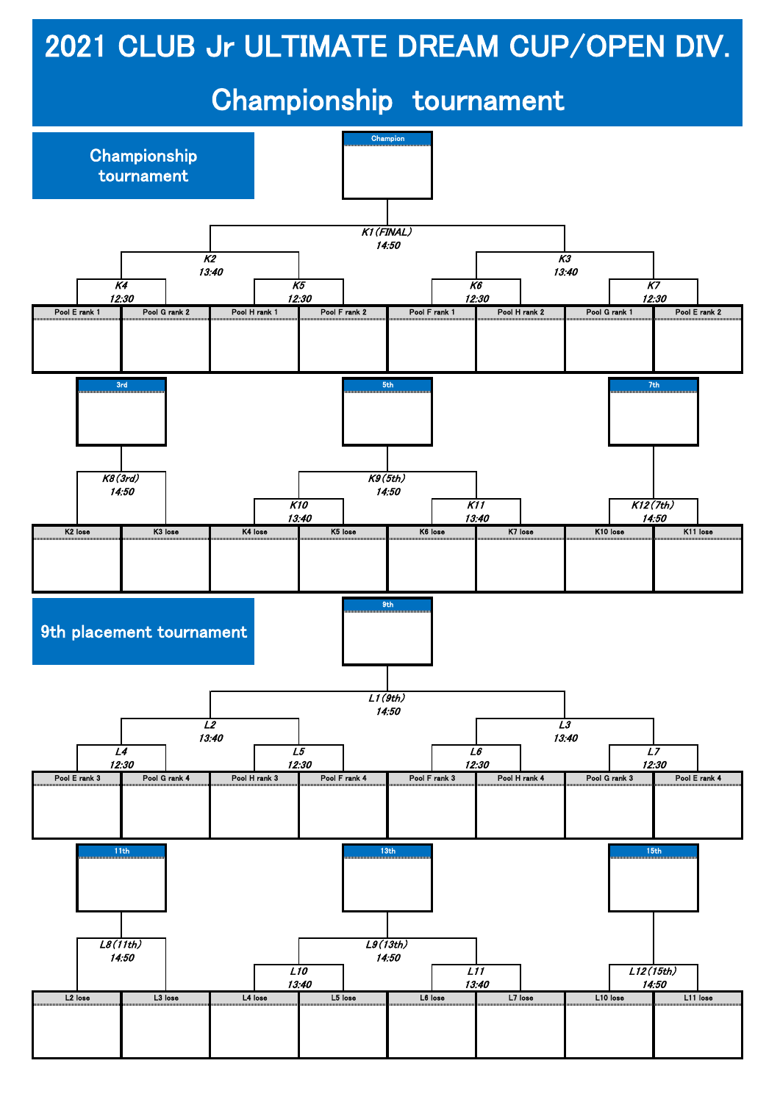## 2021 CLUB Jr ULTIMATE DREAM CUP/OPEN DIV.

## Championship tournament